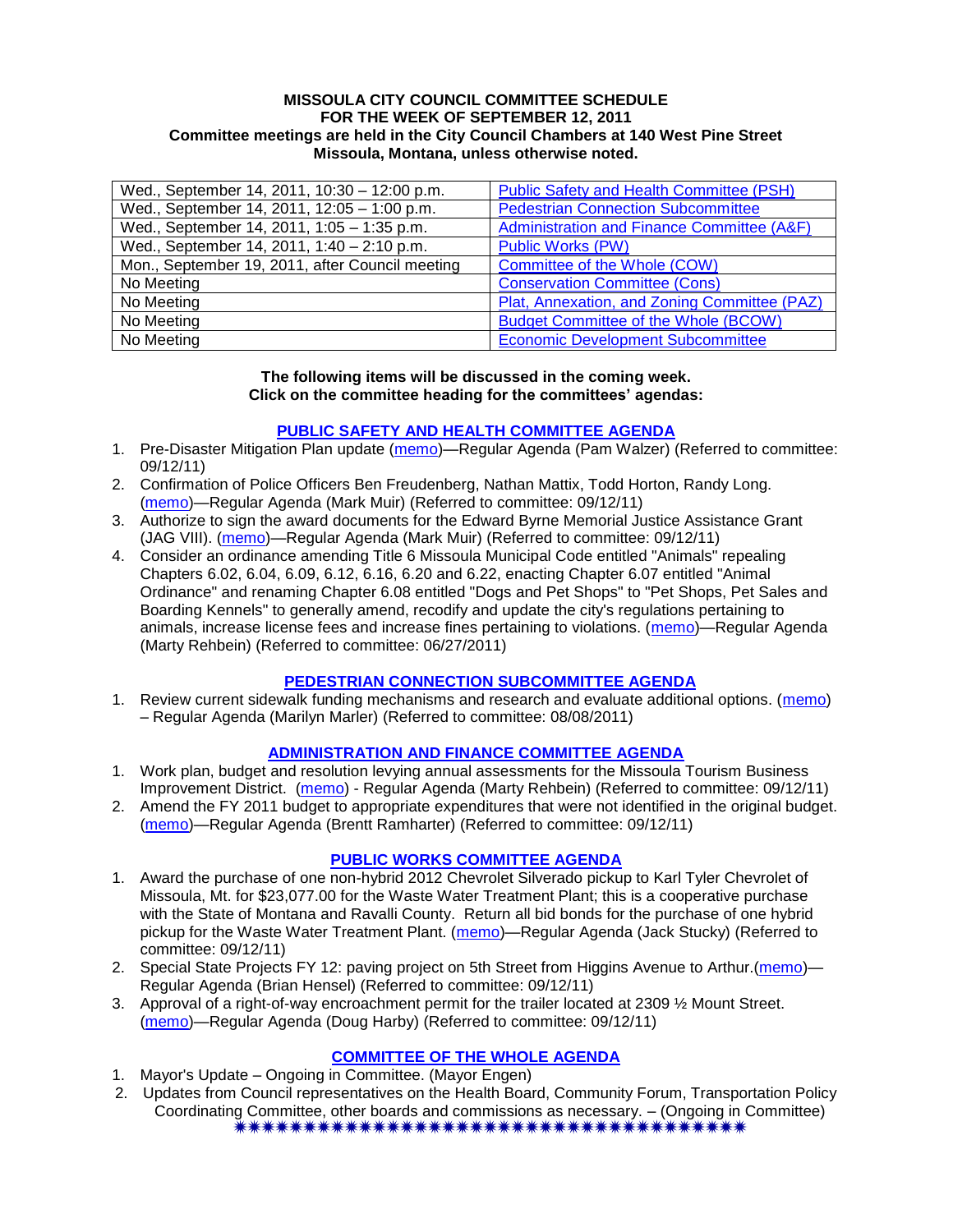#### **MISSOULA CITY COUNCIL COMMITTEE SCHEDULE FOR THE WEEK OF SEPTEMBER 12, 2011 Committee meetings are held in the City Council Chambers at 140 West Pine Street Missoula, Montana, unless otherwise noted.**

| Wed., September 14, 2011, 10:30 - 12:00 p.m.    | Public Safety and Health Committee (PSH)     |
|-------------------------------------------------|----------------------------------------------|
| Wed., September 14, 2011, 12:05 - 1:00 p.m.     | <b>Pedestrian Connection Subcommittee</b>    |
| Wed., September 14, 2011, 1:05 - 1:35 p.m.      | Administration and Finance Committee (A&F)   |
| Wed., September 14, 2011, 1:40 - 2:10 p.m.      | <b>Public Works (PW)</b>                     |
| Mon., September 19, 2011, after Council meeting | Committee of the Whole (COW)                 |
| No Meeting                                      | <b>Conservation Committee (Cons)</b>         |
| No Meeting                                      | Plat, Annexation, and Zoning Committee (PAZ) |
| No Meeting                                      | <b>Budget Committee of the Whole (BCOW)</b>  |
| No Meeting                                      | <b>Economic Development Subcommittee</b>     |

#### **The following items will be discussed in the coming week. Click on the committee heading for the committees' agendas:**

### **[PUBLIC SAFETY AND HEALTH COMMITTEE AGENDA](http://www.ci.missoula.mt.us/DocumentCenterii.aspx?FID=836)**

- 1. Pre-Disaster Mitigation Plan update [\(memo\)](http://www.ci.missoula.mt.us/DocumentView.aspx?DID=7230)—Regular Agenda (Pam Walzer) (Referred to committee: 09/12/11)
- 2. Confirmation of Police Officers Ben Freudenberg, Nathan Mattix, Todd Horton, Randy Long. [\(memo\)](http://www.ci.missoula.mt.us/DocumentView.aspx?DID=7229)—Regular Agenda (Mark Muir) (Referred to committee: 09/12/11)
- 3. Authorize to sign the award documents for the Edward Byrne Memorial Justice Assistance Grant (JAG VIII). [\(memo\)](http://www.ci.missoula.mt.us/DocumentView.aspx?DID=7248)—Regular Agenda (Mark Muir) (Referred to committee: 09/12/11)
- 4. Consider an ordinance amending Title 6 Missoula Municipal Code entitled "Animals" repealing Chapters 6.02, 6.04, 6.09, 6.12, 6.16, 6.20 and 6.22, enacting Chapter 6.07 entitled "Animal Ordinance" and renaming Chapter 6.08 entitled "Dogs and Pet Shops" to "Pet Shops, Pet Sales and Boarding Kennels" to generally amend, recodify and update the city's regulations pertaining to animals, increase license fees and increase fines pertaining to violations. [\(memo\)](http://www.ci.missoula.mt.us/DocumentView.aspx?DID=6698)—Regular Agenda (Marty Rehbein) (Referred to committee: 06/27/2011)

### **[PEDESTRIAN CONNECTION SUBCOMMITTEE AGENDA](http://www.ci.missoula.mt.us/DocumentCenterii.aspx?FID=845)**

1. Review current sidewalk funding mechanisms and research and evaluate additional options. [\(memo\)](http://www.ci.missoula.mt.us/DocumentView.aspx?DID=7017) – Regular Agenda (Marilyn Marler) (Referred to committee: 08/08/2011)

### **[ADMINISTRATION AND FINANCE COMMITTEE AGENDA](http://www.ci.missoula.mt.us/DocumentCenterii.aspx?FID=830)**

- 1. Work plan, budget and resolution levying annual assessments for the Missoula Tourism Business Improvement District. [\(memo\)](http://www.ci.missoula.mt.us/DocumentView.aspx?DID=7244) - Regular Agenda (Marty Rehbein) (Referred to committee: 09/12/11)
- 2. Amend the FY 2011 budget to appropriate expenditures that were not identified in the original budget. [\(memo\)](http://www.ci.missoula.mt.us/DocumentView.aspx?DID=7251)—Regular Agenda (Brentt Ramharter) (Referred to committee: 09/12/11)

#### **[PUBLIC WORKS COMMITTEE AGENDA](http://www.ci.missoula.mt.us/DocumentCenterii.aspx?FID=833)**

- 1. Award the purchase of one non-hybrid 2012 Chevrolet Silverado pickup to Karl Tyler Chevrolet of Missoula, Mt. for \$23,077.00 for the Waste Water Treatment Plant; this is a cooperative purchase with the State of Montana and Ravalli County. Return all bid bonds for the purchase of one hybrid pickup for the Waste Water Treatment Plant. [\(memo\)](http://www.ci.missoula.mt.us/DocumentView.aspx?DID=7247)—Regular Agenda (Jack Stucky) (Referred to committee: 09/12/11)
- 2. Special State Projects FY 12: paving project on 5th Street from Higgins Avenue to Arthur.[\(memo\)](http://www.ci.missoula.mt.us/DocumentView.aspx?DID=7245)-Regular Agenda (Brian Hensel) (Referred to committee: 09/12/11)
- 3. Approval of a right-of-way encroachment permit for the trailer located at 2309 ½ Mount Street. [\(memo\)](http://www.ci.missoula.mt.us/DocumentView.aspx?DID=7246)—Regular Agenda (Doug Harby) (Referred to committee: 09/12/11)

### **[COMMITTEE OF THE WHOLE AGENDA](http://www.ci.missoula.mt.us/DocumentCenterii.aspx?FID=834)**

- 1. Mayor's Update Ongoing in Committee. (Mayor Engen)
- 2. Updates from Council representatives on the Health Board, Community Forum, Transportation Policy Coordinating Committee, other boards and commissions as necessary. – (Ongoing in Committee)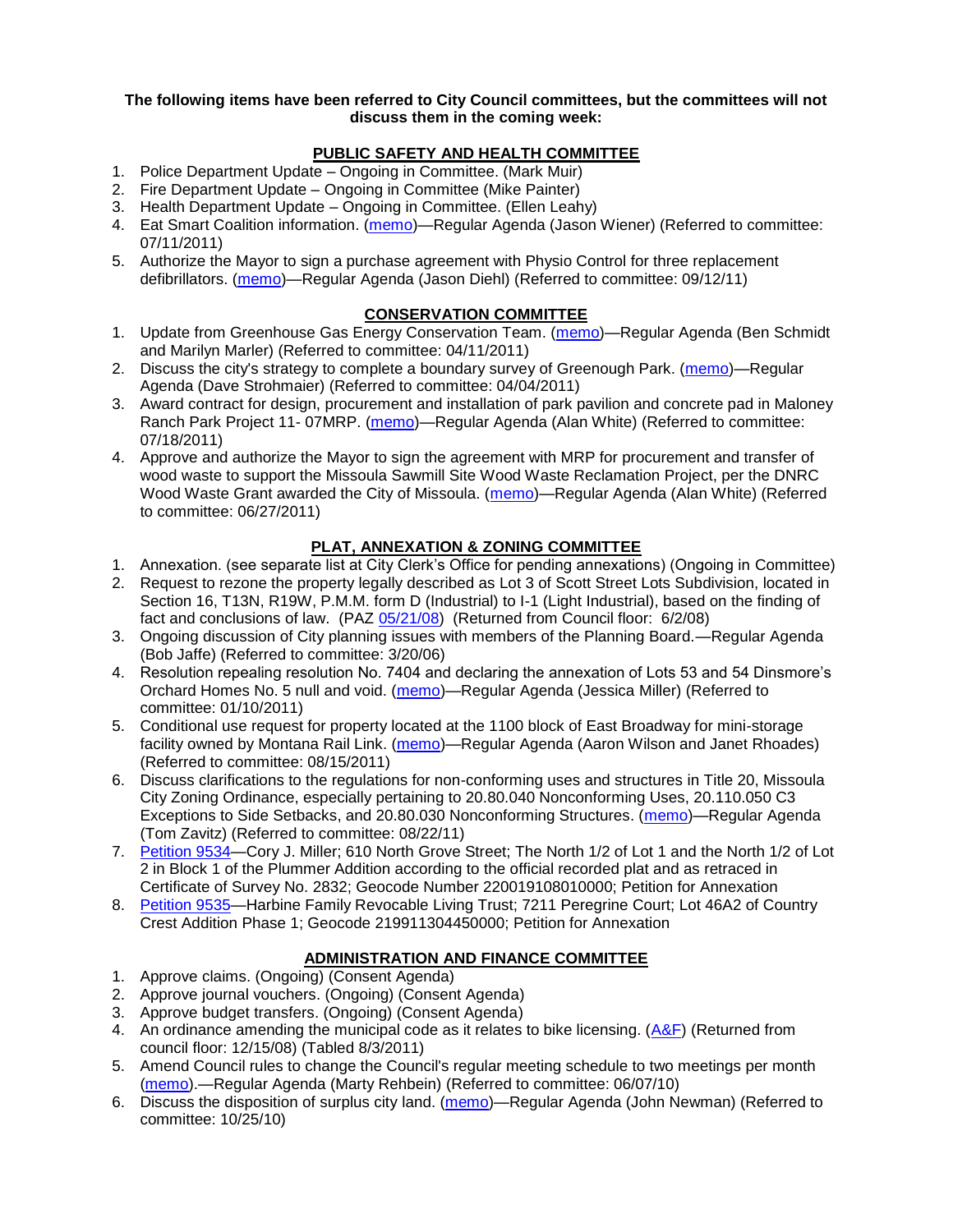#### **The following items have been referred to City Council committees, but the committees will not discuss them in the coming week:**

# **PUBLIC SAFETY AND HEALTH COMMITTEE**

- 1. Police Department Update Ongoing in Committee. (Mark Muir)
- 2. Fire Department Update Ongoing in Committee (Mike Painter)
- 3. Health Department Update Ongoing in Committee. (Ellen Leahy)
- 4. Eat Smart Coalition information. [\(memo\)](http://www.ci.missoula.mt.us/DocumentView.aspx?DID=6776)—Regular Agenda (Jason Wiener) (Referred to committee: 07/11/2011)
- 5. Authorize the Mayor to sign a purchase agreement with Physio Control for three replacement defibrillators. [\(memo\)](http://www.ci.missoula.mt.us/DocumentView.aspx?DID=7231)—Regular Agenda (Jason Diehl) (Referred to committee: 09/12/11)

## **CONSERVATION COMMITTEE**

- 1. Update from Greenhouse Gas Energy Conservation Team. [\(memo\)](http://www.ci.missoula.mt.us/DocumentView.aspx?DID=5945)—Regular Agenda (Ben Schmidt and Marilyn Marler) (Referred to committee: 04/11/2011)
- 2. Discuss the city's strategy to complete a boundary survey of Greenough Park. [\(memo\)](http://www.ci.missoula.mt.us/DocumentView.aspx?DID=5875)—Regular Agenda (Dave Strohmaier) (Referred to committee: 04/04/2011)
- 3. Award contract for design, procurement and installation of park pavilion and concrete pad in Maloney Ranch Park Project 11- 07MRP. [\(memo\)](http://www.ci.missoula.mt.us/DocumentView.aspx?DID=6859)—Regular Agenda (Alan White) (Referred to committee: 07/18/2011)
- 4. Approve and authorize the Mayor to sign the agreement with MRP for procurement and transfer of wood waste to support the Missoula Sawmill Site Wood Waste Reclamation Project, per the DNRC Wood Waste Grant awarded the City of Missoula. [\(memo\)](http://www.ci.missoula.mt.us/DocumentView.aspx?DID=6682)—Regular Agenda (Alan White) (Referred to committee: 06/27/2011)

## **PLAT, ANNEXATION & ZONING COMMITTEE**

- 1. Annexation. (see separate list at City Clerk's Office for pending annexations) (Ongoing in Committee)
- 2. Request to rezone the property legally described as Lot 3 of Scott Street Lots Subdivision, located in Section 16, T13N, R19W, P.M.M. form D (Industrial) to I-1 (Light Industrial), based on the finding of fact and conclusions of law. (PAZ [05/21/08\)](ftp://ftp.ci.missoula.mt.us/Packets/Council/2008/2008-06-02/080521paz.pdf) (Returned from Council floor: 6/2/08)
- 3. Ongoing discussion of City planning issues with members of the Planning Board.—Regular Agenda (Bob Jaffe) (Referred to committee: 3/20/06)
- 4. Resolution repealing resolution No. 7404 and declaring the annexation of Lots 53 and 54 Dinsmore's Orchard Homes No. 5 null and void. [\(memo\)](http://www.ci.missoula.mt.us/DocumentView.aspx?DID=5349)—Regular Agenda (Jessica Miller) (Referred to committee: 01/10/2011)
- 5. Conditional use request for property located at the 1100 block of East Broadway for mini-storage facility owned by Montana Rail Link. [\(memo\)](http://www.ci.missoula.mt.us/DocumentView.aspx?DID=7067)—Regular Agenda (Aaron Wilson and Janet Rhoades) (Referred to committee: 08/15/2011)
- 6. Discuss clarifications to the regulations for non-conforming uses and structures in Title 20, Missoula City Zoning Ordinance, especially pertaining to 20.80.040 Nonconforming Uses, 20.110.050 C3 Exceptions to Side Setbacks, and 20.80.030 Nonconforming Structures. [\(memo\)](http://www.ci.missoula.mt.us/DocumentView.aspx?DID=7140)—Regular Agenda (Tom Zavitz) (Referred to committee: 08/22/11)
- 7. [Petition 9534—](http://www.ci.missoula.mt.us/DocumentView.aspx?DID=7156)Cory J. Miller; 610 North Grove Street; The North 1/2 of Lot 1 and the North 1/2 of Lot 2 in Block 1 of the Plummer Addition according to the official recorded plat and as retraced in Certificate of Survey No. 2832; Geocode Number 220019108010000; Petition for Annexation
- 8. [Petition 9535—](http://www.ci.missoula.mt.us/DocumentView.aspx?DID=7158)Harbine Family Revocable Living Trust; 7211 Peregrine Court; Lot 46A2 of Country Crest Addition Phase 1; Geocode 219911304450000; Petition for Annexation

## **ADMINISTRATION AND FINANCE COMMITTEE**

- 1. Approve claims. (Ongoing) (Consent Agenda)
- 2. Approve journal vouchers. (Ongoing) (Consent Agenda)
- 3. Approve budget transfers. (Ongoing) (Consent Agenda)
- 4. An ordinance amending the municipal code as it relates to bike licensing. [\(A&F\)](ftp://ftp.ci.missoula.mt.us/Packets/Council/2008/2008-12-15/081210af.pdf) (Returned from council floor: 12/15/08) (Tabled 8/3/2011)
- 5. Amend Council rules to change the Council's regular meeting schedule to two meetings per month [\(memo\)](http://www.ci.missoula.mt.us/DocumentView.aspx?DID=4027).—Regular Agenda (Marty Rehbein) (Referred to committee: 06/07/10)
- 6. Discuss the disposition of surplus city land. [\(memo\)](http://www.ci.missoula.mt.us/DocumentView.aspx?DID=4862)—Regular Agenda (John Newman) (Referred to committee: 10/25/10)